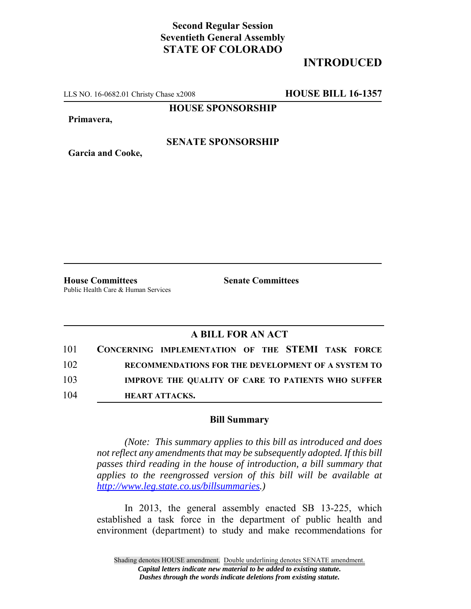## **Second Regular Session Seventieth General Assembly STATE OF COLORADO**

# **INTRODUCED**

LLS NO. 16-0682.01 Christy Chase x2008 **HOUSE BILL 16-1357**

**HOUSE SPONSORSHIP**

**Primavera,**

**Garcia and Cooke,**

### **SENATE SPONSORSHIP**

**House Committees Senate Committees** Public Health Care & Human Services

### **A BILL FOR AN ACT**

| 101 | CONCERNING IMPLEMENTATION OF THE STEMI TASK FORCE         |
|-----|-----------------------------------------------------------|
| 102 | RECOMMENDATIONS FOR THE DEVELOPMENT OF A SYSTEM TO        |
| 103 | <b>IMPROVE THE QUALITY OF CARE TO PATIENTS WHO SUFFER</b> |
| 104 | <b>HEART ATTACKS.</b>                                     |

#### **Bill Summary**

*(Note: This summary applies to this bill as introduced and does not reflect any amendments that may be subsequently adopted. If this bill passes third reading in the house of introduction, a bill summary that applies to the reengrossed version of this bill will be available at http://www.leg.state.co.us/billsummaries.)*

In 2013, the general assembly enacted SB 13-225, which established a task force in the department of public health and environment (department) to study and make recommendations for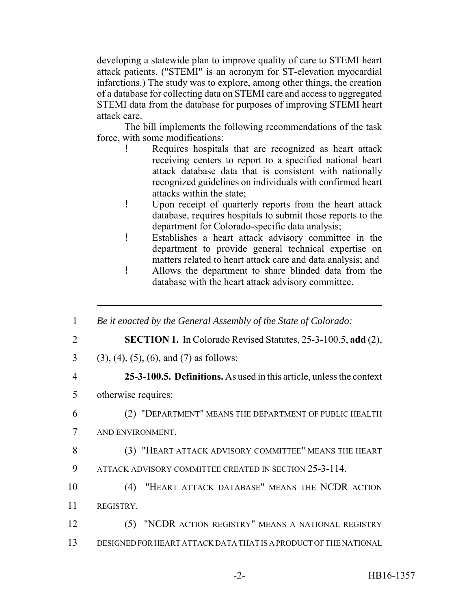developing a statewide plan to improve quality of care to STEMI heart attack patients. ("STEMI" is an acronym for ST-elevation myocardial infarctions.) The study was to explore, among other things, the creation of a database for collecting data on STEMI care and access to aggregated STEMI data from the database for purposes of improving STEMI heart attack care.

The bill implements the following recommendations of the task force, with some modifications:

- ! Requires hospitals that are recognized as heart attack receiving centers to report to a specified national heart attack database data that is consistent with nationally recognized guidelines on individuals with confirmed heart attacks within the state;
- ! Upon receipt of quarterly reports from the heart attack database, requires hospitals to submit those reports to the department for Colorado-specific data analysis;
- ! Establishes a heart attack advisory committee in the department to provide general technical expertise on matters related to heart attack care and data analysis; and
- ! Allows the department to share blinded data from the database with the heart attack advisory committee.

| $\mathbf{1}$ | Be it enacted by the General Assembly of the State of Colorado:      |
|--------------|----------------------------------------------------------------------|
| 2            | <b>SECTION 1.</b> In Colorado Revised Statutes, 25-3-100.5, add (2), |
| 3            | $(3)$ , $(4)$ , $(5)$ , $(6)$ , and $(7)$ as follows:                |
| 4            | 25-3-100.5. Definitions. As used in this article, unless the context |
| 5            | otherwise requires:                                                  |
| 6            | (2) "DEPARTMENT" MEANS THE DEPARTMENT OF PUBLIC HEALTH               |
| 7            | AND ENVIRONMENT.                                                     |
| 8            | (3) "HEART ATTACK ADVISORY COMMITTEE" MEANS THE HEART                |
| 9            | ATTACK ADVISORY COMMITTEE CREATED IN SECTION 25-3-114.               |
| 10           | "HEART ATTACK DATABASE" MEANS THE NCDR ACTION<br>(4)                 |
| 11           | REGISTRY.                                                            |
| 12           | (5) "NCDR ACTION REGISTRY" MEANS A NATIONAL REGISTRY                 |
| 13           | DESIGNED FOR HEART ATTACK DATA THAT IS A PRODUCT OF THE NATIONAL     |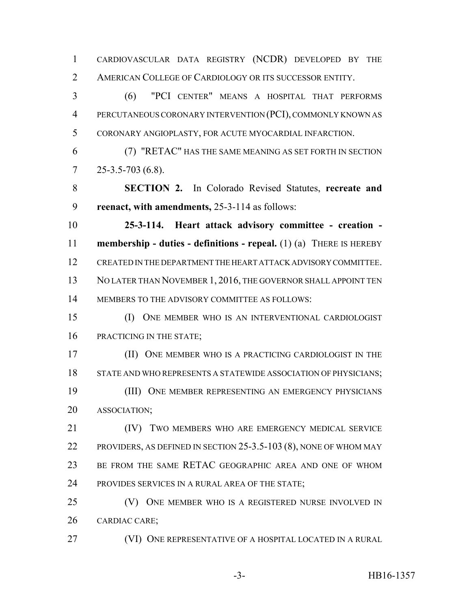CARDIOVASCULAR DATA REGISTRY (NCDR) DEVELOPED BY THE 2 AMERICAN COLLEGE OF CARDIOLOGY OR ITS SUCCESSOR ENTITY.

 (6) "PCI CENTER" MEANS A HOSPITAL THAT PERFORMS PERCUTANEOUS CORONARY INTERVENTION (PCI), COMMONLY KNOWN AS CORONARY ANGIOPLASTY, FOR ACUTE MYOCARDIAL INFARCTION.

 (7) "RETAC" HAS THE SAME MEANING AS SET FORTH IN SECTION  $7 \quad 25-3.5-703(6.8).$ 

 **SECTION 2.** In Colorado Revised Statutes, **recreate and reenact, with amendments,** 25-3-114 as follows:

 **25-3-114. Heart attack advisory committee - creation - membership - duties - definitions - repeal.** (1) (a) THERE IS HEREBY CREATED IN THE DEPARTMENT THE HEART ATTACK ADVISORY COMMITTEE. 13 NO LATER THAN NOVEMBER 1, 2016, THE GOVERNOR SHALL APPOINT TEN MEMBERS TO THE ADVISORY COMMITTEE AS FOLLOWS:

 (I) ONE MEMBER WHO IS AN INTERVENTIONAL CARDIOLOGIST 16 PRACTICING IN THE STATE;

 (II) ONE MEMBER WHO IS A PRACTICING CARDIOLOGIST IN THE 18 STATE AND WHO REPRESENTS A STATEWIDE ASSOCIATION OF PHYSICIANS; (III) ONE MEMBER REPRESENTING AN EMERGENCY PHYSICIANS ASSOCIATION;

 (IV) TWO MEMBERS WHO ARE EMERGENCY MEDICAL SERVICE PROVIDERS, AS DEFINED IN SECTION 25-3.5-103 (8), NONE OF WHOM MAY BE FROM THE SAME RETAC GEOGRAPHIC AREA AND ONE OF WHOM PROVIDES SERVICES IN A RURAL AREA OF THE STATE;

 (V) ONE MEMBER WHO IS A REGISTERED NURSE INVOLVED IN CARDIAC CARE;

(VI) ONE REPRESENTATIVE OF A HOSPITAL LOCATED IN A RURAL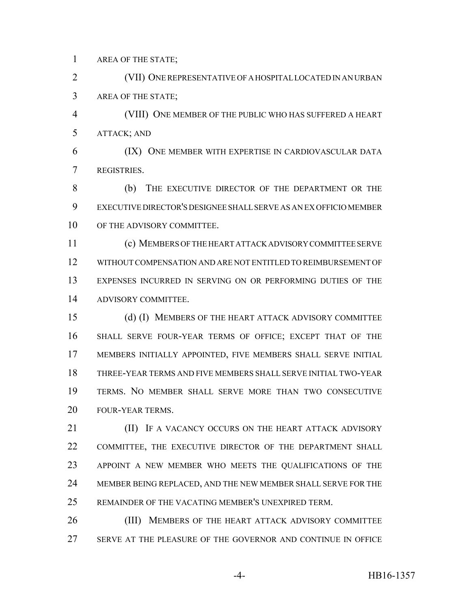AREA OF THE STATE;

 (VII) ONE REPRESENTATIVE OF A HOSPITAL LOCATED IN AN URBAN AREA OF THE STATE;

 (VIII) ONE MEMBER OF THE PUBLIC WHO HAS SUFFERED A HEART ATTACK; AND

 (IX) ONE MEMBER WITH EXPERTISE IN CARDIOVASCULAR DATA REGISTRIES.

 (b) THE EXECUTIVE DIRECTOR OF THE DEPARTMENT OR THE EXECUTIVE DIRECTOR'S DESIGNEE SHALL SERVE AS AN EX OFFICIO MEMBER 10 OF THE ADVISORY COMMITTEE.

 (c) MEMBERS OF THE HEART ATTACK ADVISORY COMMITTEE SERVE WITHOUT COMPENSATION AND ARE NOT ENTITLED TO REIMBURSEMENT OF EXPENSES INCURRED IN SERVING ON OR PERFORMING DUTIES OF THE ADVISORY COMMITTEE.

 (d) (I) MEMBERS OF THE HEART ATTACK ADVISORY COMMITTEE SHALL SERVE FOUR-YEAR TERMS OF OFFICE; EXCEPT THAT OF THE MEMBERS INITIALLY APPOINTED, FIVE MEMBERS SHALL SERVE INITIAL THREE-YEAR TERMS AND FIVE MEMBERS SHALL SERVE INITIAL TWO-YEAR TERMS. NO MEMBER SHALL SERVE MORE THAN TWO CONSECUTIVE FOUR-YEAR TERMS.

**III)** IF A VACANCY OCCURS ON THE HEART ATTACK ADVISORY COMMITTEE, THE EXECUTIVE DIRECTOR OF THE DEPARTMENT SHALL APPOINT A NEW MEMBER WHO MEETS THE QUALIFICATIONS OF THE MEMBER BEING REPLACED, AND THE NEW MEMBER SHALL SERVE FOR THE REMAINDER OF THE VACATING MEMBER'S UNEXPIRED TERM.

**(III) MEMBERS OF THE HEART ATTACK ADVISORY COMMITTEE** SERVE AT THE PLEASURE OF THE GOVERNOR AND CONTINUE IN OFFICE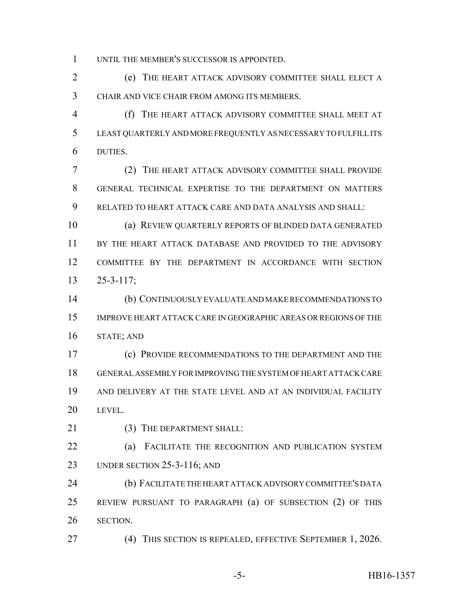UNTIL THE MEMBER'S SUCCESSOR IS APPOINTED.

 (e) THE HEART ATTACK ADVISORY COMMITTEE SHALL ELECT A CHAIR AND VICE CHAIR FROM AMONG ITS MEMBERS.

 (f) THE HEART ATTACK ADVISORY COMMITTEE SHALL MEET AT LEAST QUARTERLY AND MORE FREQUENTLY AS NECESSARY TO FULFILL ITS DUTIES.

 (2) THE HEART ATTACK ADVISORY COMMITTEE SHALL PROVIDE GENERAL TECHNICAL EXPERTISE TO THE DEPARTMENT ON MATTERS RELATED TO HEART ATTACK CARE AND DATA ANALYSIS AND SHALL:

 (a) REVIEW QUARTERLY REPORTS OF BLINDED DATA GENERATED BY THE HEART ATTACK DATABASE AND PROVIDED TO THE ADVISORY COMMITTEE BY THE DEPARTMENT IN ACCORDANCE WITH SECTION 25-3-117;

 (b) CONTINUOUSLY EVALUATE AND MAKE RECOMMENDATIONS TO IMPROVE HEART ATTACK CARE IN GEOGRAPHIC AREAS OR REGIONS OF THE STATE; AND

 (c) PROVIDE RECOMMENDATIONS TO THE DEPARTMENT AND THE GENERAL ASSEMBLY FOR IMPROVING THE SYSTEM OF HEART ATTACK CARE AND DELIVERY AT THE STATE LEVEL AND AT AN INDIVIDUAL FACILITY LEVEL.

21 (3) THE DEPARTMENT SHALL:

 (a) FACILITATE THE RECOGNITION AND PUBLICATION SYSTEM UNDER SECTION 25-3-116; AND

 (b) FACILITATE THE HEART ATTACK ADVISORY COMMITTEE'S DATA REVIEW PURSUANT TO PARAGRAPH (a) OF SUBSECTION (2) OF THIS SECTION.

(4) THIS SECTION IS REPEALED, EFFECTIVE SEPTEMBER 1, 2026.

-5- HB16-1357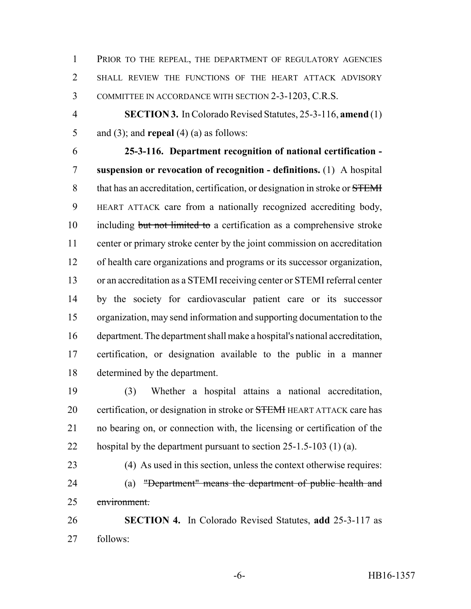1 PRIOR TO THE REPEAL, THE DEPARTMENT OF REGULATORY AGENCIES SHALL REVIEW THE FUNCTIONS OF THE HEART ATTACK ADVISORY COMMITTEE IN ACCORDANCE WITH SECTION 2-3-1203, C.R.S.

 **SECTION 3.** In Colorado Revised Statutes, 25-3-116, **amend** (1) and (3); and **repeal** (4) (a) as follows:

 **25-3-116. Department recognition of national certification - suspension or revocation of recognition - definitions.** (1) A hospital 8 that has an accreditation, certification, or designation in stroke or STEMI HEART ATTACK care from a nationally recognized accrediting body, 10 including but not limited to a certification as a comprehensive stroke center or primary stroke center by the joint commission on accreditation of health care organizations and programs or its successor organization, or an accreditation as a STEMI receiving center or STEMI referral center by the society for cardiovascular patient care or its successor organization, may send information and supporting documentation to the department. The department shall make a hospital's national accreditation, certification, or designation available to the public in a manner determined by the department.

 (3) Whether a hospital attains a national accreditation, 20 certification, or designation in stroke or **STEMI** HEART ATTACK care has no bearing on, or connection with, the licensing or certification of the hospital by the department pursuant to section 25-1.5-103 (1) (a).

 (4) As used in this section, unless the context otherwise requires: (a) "Department" means the department of public health and environment.

 **SECTION 4.** In Colorado Revised Statutes, **add** 25-3-117 as follows: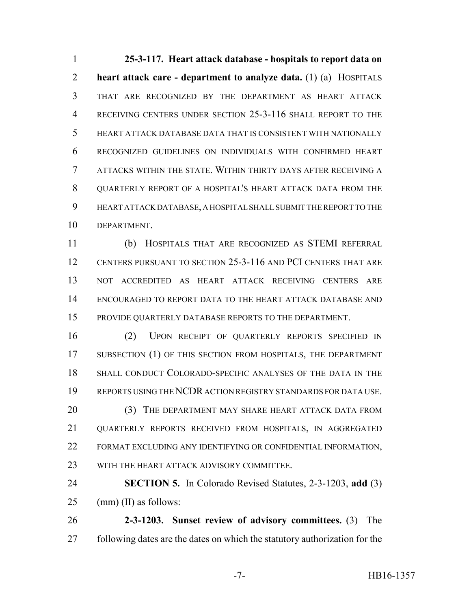**25-3-117. Heart attack database - hospitals to report data on heart attack care - department to analyze data.** (1) (a) HOSPITALS THAT ARE RECOGNIZED BY THE DEPARTMENT AS HEART ATTACK RECEIVING CENTERS UNDER SECTION 25-3-116 SHALL REPORT TO THE HEART ATTACK DATABASE DATA THAT IS CONSISTENT WITH NATIONALLY RECOGNIZED GUIDELINES ON INDIVIDUALS WITH CONFIRMED HEART ATTACKS WITHIN THE STATE. WITHIN THIRTY DAYS AFTER RECEIVING A 8 OUARTERLY REPORT OF A HOSPITAL'S HEART ATTACK DATA FROM THE HEART ATTACK DATABASE, A HOSPITAL SHALL SUBMIT THE REPORT TO THE DEPARTMENT.

 (b) HOSPITALS THAT ARE RECOGNIZED AS STEMI REFERRAL CENTERS PURSUANT TO SECTION 25-3-116 AND PCI CENTERS THAT ARE NOT ACCREDITED AS HEART ATTACK RECEIVING CENTERS ARE ENCOURAGED TO REPORT DATA TO THE HEART ATTACK DATABASE AND PROVIDE QUARTERLY DATABASE REPORTS TO THE DEPARTMENT.

 (2) UPON RECEIPT OF QUARTERLY REPORTS SPECIFIED IN 17 SUBSECTION (1) OF THIS SECTION FROM HOSPITALS, THE DEPARTMENT SHALL CONDUCT COLORADO-SPECIFIC ANALYSES OF THE DATA IN THE REPORTS USING THE NCDR ACTION REGISTRY STANDARDS FOR DATA USE. 20 (3) THE DEPARTMENT MAY SHARE HEART ATTACK DATA FROM QUARTERLY REPORTS RECEIVED FROM HOSPITALS, IN AGGREGATED FORMAT EXCLUDING ANY IDENTIFYING OR CONFIDENTIAL INFORMATION, WITH THE HEART ATTACK ADVISORY COMMITTEE.

 **SECTION 5.** In Colorado Revised Statutes, 2-3-1203, **add** (3) (mm) (II) as follows:

 **2-3-1203. Sunset review of advisory committees.** (3) The following dates are the dates on which the statutory authorization for the